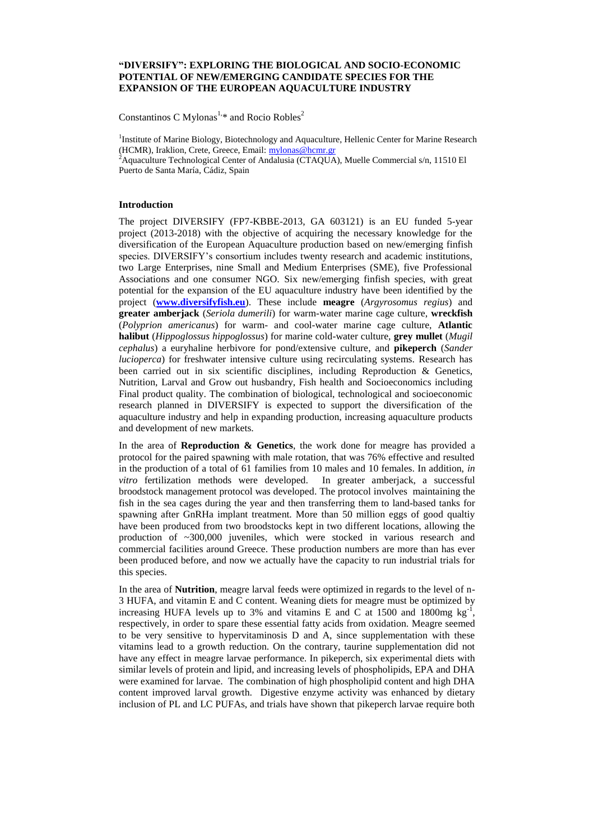## **"DIVERSIFY": EXPLORING THE BIOLOGICAL AND SOCIO-ECONOMIC POTENTIAL OF NEW/EMERGING CANDIDATE SPECIES FOR THE EXPANSION OF THE EUROPEAN AQUACULTURE INDUSTRY**

Constantinos C Mylonas<sup>1,\*</sup> and Rocio Robles<sup>2</sup>

<sup>1</sup>Institute of Marine Biology, Biotechnology and Aquaculture, Hellenic Center for Marine Research (HCMR), Iraklion, Crete, Greece, Email: [mylonas@hcmr.gr](mailto:mylonas@hcmr.gr) <sup>2</sup> Aquaculture Technological Center of Andalusia (CTAQUA), Muelle Commercial  $s/n$ , 11510 El Puerto de Santa María, Cádiz, Spain

## **Introduction**

The project DIVERSIFY (FP7-KBBE-2013, GA 603121) is an EU funded 5-year project (2013-2018) with the objective of acquiring the necessary knowledge for the diversification of the European Aquaculture production based on new/emerging finfish species. DIVERSIFY's consortium includes twenty research and academic institutions, two Large Enterprises, nine Small and Medium Enterprises (SME), five Professional Associations and one consumer NGO. Six new/emerging finfish species, with great potential for the expansion of the EU aquaculture industry have been identified by the project (**[www.diversifyfish.eu](http://www.diversifyfish.eu/)**). These include **meagre** (*Argyrosomus regius*) and **greater amberjack** (*Seriola dumerili*) for warm-water marine cage culture, **wreckfish** (*Polyprion americanus*) for warm- and cool-water marine cage culture, **Atlantic halibut** (*Hippoglossus hippoglossus*) for marine cold-water culture, **grey mullet** (*Mugil cephalus*) a euryhaline herbivore for pond/extensive culture, and **pikeperch** (*Sander lucioperca*) for freshwater intensive culture using recirculating systems. Research has been carried out in six scientific disciplines, including Reproduction & Genetics, Nutrition, Larval and Grow out husbandry, Fish health and Socioeconomics including Final product quality. The combination of biological, technological and socioeconomic research planned in DIVERSIFY is expected to support the diversification of the aquaculture industry and help in expanding production, increasing aquaculture products and development of new markets.

In the area of **Reproduction & Genetics**, the work done for meagre has provided a protocol for the paired spawning with male rotation, that was 76% effective and resulted in the production of a total of 61 families from 10 males and 10 females. In addition, *in vitro* fertilization methods were developed. In greater amberjack, a successful broodstock management protocol was developed. The protocol involves maintaining the fish in the sea cages during the year and then transferring them to land-based tanks for spawning after GnRHa implant treatment. More than 50 million eggs of good qualtiy have been produced from two broodstocks kept in two different locations, allowing the production of ~300,000 juveniles, which were stocked in various research and commercial facilities around Greece. These production numbers are more than has ever been produced before, and now we actually have the capacity to run industrial trials for this species.

In the area of **Nutrition**, meagre larval feeds were optimized in regards to the level of n-3 HUFA, and vitamin E and C content. Weaning diets for meagre must be optimized by increasing HUFA levels up to 3% and vitamins E and C at 1500 and 1800mg  $kg^{-1}$ , respectively, in order to spare these essential fatty acids from oxidation. Meagre seemed to be very sensitive to hypervitaminosis D and A, since supplementation with these vitamins lead to a growth reduction. On the contrary, taurine supplementation did not have any effect in meagre larvae performance. In pikeperch, six experimental diets with similar levels of protein and lipid, and increasing levels of phospholipids, EPA and DHA were examined for larvae. The combination of high phospholipid content and high DHA content improved larval growth. Digestive enzyme activity was enhanced by dietary inclusion of PL and LC PUFAs, and trials have shown that pikeperch larvae require both